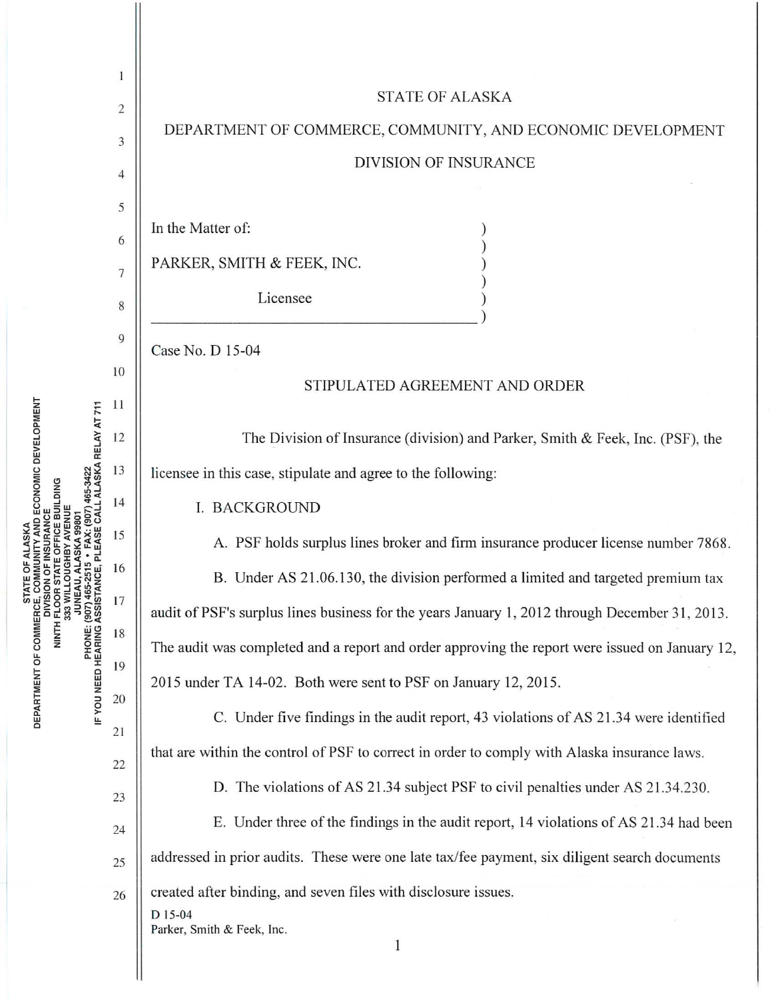

**VITY AND ECONOMIC DEVELOPMENT<br>VSURANCE OMNAND DIVISING<br>NINTH FLOOF**<br>NINTH FLOOF DEPARTMENT OF COMMERCE,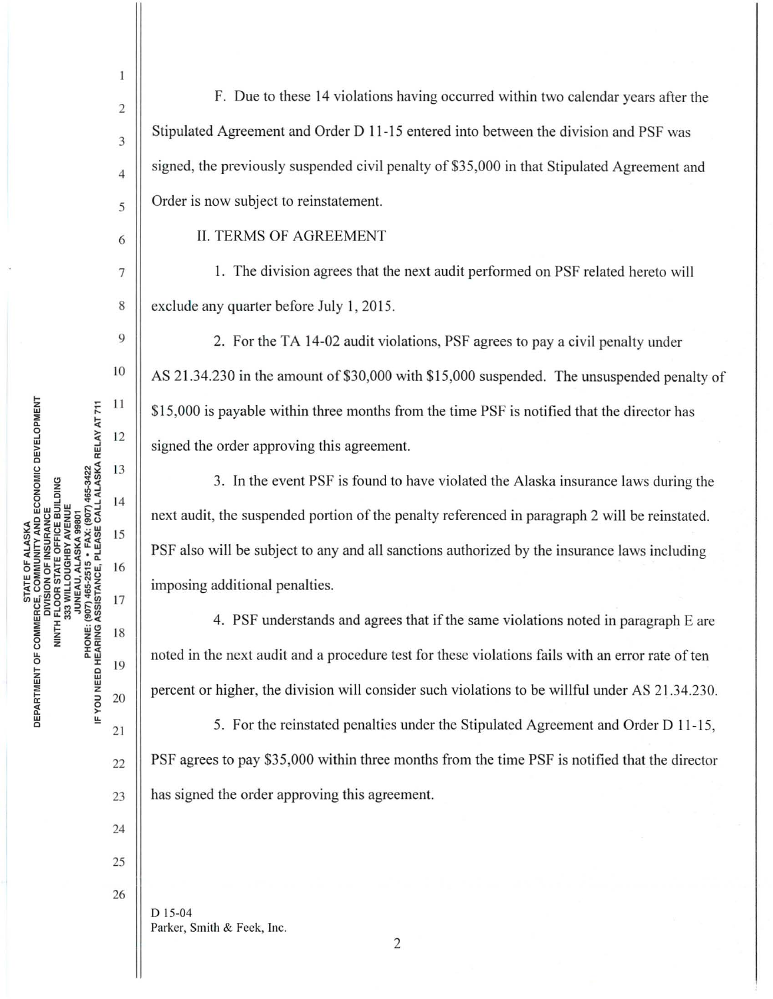$\sum_{\text{NE}}$  11 CONOMIC DEVELOP<br>
ILDING<br>
E<br>
1465-3422<br>
LALASKA RELAY A<br>
LALASKA RELAY A<br>
14 (A<br>AID E<br>AICE BIB<br>FECAL<br>ECAL  $552222115$ :<br>Financia<br>Financia<br>Financia<br>Financia **ATE OF<br>COMMUS<br>COM OF STATIST<br>CON STATIST : 16<br>BOATE : 16<br>BOATE : 16<br>COM OF THE 16<br>COM OF THE 16<br>COM OF THE 16<br>COM OF THE 16** li'iw!iio§:~!,li'i 17 u:::o..,::::i,..iii RTMENT OF COMMER<br>
INITH<br>
MITH F<br>
33<br>
20<br>
DU NEED HEARING AS<br>
20<br>
20 <sup>~</sup><sup>0</sup>>

24 25

26

2

 $\mathbf{I}$ 

F. Due to these 14 violations having occurred within two calendar years after the  $\mathcal{S}$  Stipulated Agreement and Order D 11-15 entered into between the division and PSF was  $\parallel$  signed, the previously suspended civil penalty of \$35,000 in that Stipulated Agreement and  $\frac{1}{5}$  Order is now subject to reinstatement.

6 || II. TERMS OF AGREEMENT

7 1. The division agrees that the next audit performed on PSF related hereto will 8 exclude any quarter before July 1, 2015.

<sup>9</sup> 2. For the TA 14-02 audit violations, PSF agrees to pay a civil penalty under  $\left\| \right\|$  AS 21.34.230 in the amount of \$30,000 with \$15,000 suspended. The unsuspended penalty of \$ 15,000 is payable within three months from the time PSF is notified that the director has signed the order approving this agreement.

3. In the event PSF is found to have violated the Alaska insurance laws during the next audit, the suspended portion of the penalty referenced in paragraph 2 will be reinstated. PSF also will be subject to any and all sanctions authorized by the insurance laws including imposing additional penalties.

4 . PSF understands and agrees that if the same violations noted in paragraph E are noted in the next audit and a procedure test for these violations fails with an error rate of ten percent or higher, the division will consider such violations to be willful under AS 21.34.230.

21  $\parallel$  5. For the reinstated penalties under the Stipulated Agreement and Order D 11-15,  $_{22}$  | PSF agrees to pay \$35,000 within three months from the time PSF is notified that the director 23 **has signed the order approving this agreement.** 

D 15-04 Parker, Smith & Feek, Inc.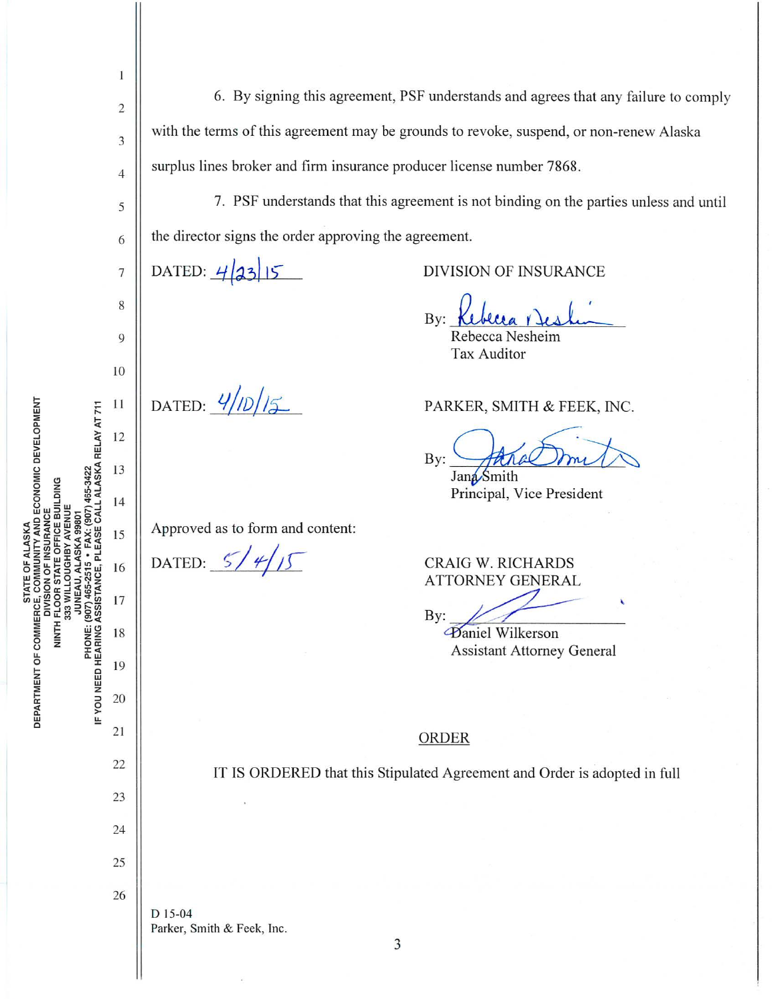| 1                                                                           |                                                                                         |
|-----------------------------------------------------------------------------|-----------------------------------------------------------------------------------------|
| $\overline{c}$                                                              | 6. By signing this agreement, PSF understands and agrees that any failure to comply     |
| 3                                                                           | with the terms of this agreement may be grounds to revoke, suspend, or non-renew Alaska |
| $\overline{4}$                                                              | surplus lines broker and firm insurance producer license number 7868.                   |
| 5                                                                           | 7. PSF understands that this agreement is not binding on the parties unless and until   |
| 6                                                                           | the director signs the order approving the agreement.                                   |
| 7                                                                           | DATED: $4 33 15$<br>DIVISION OF INSURANCE                                               |
| 8                                                                           | By:                                                                                     |
| 9                                                                           | Rebecca Nesheim<br><b>Tax Auditor</b>                                                   |
| 10                                                                          |                                                                                         |
| 11                                                                          | DATED: $\frac{4}{7}$<br>PARKER, SMITH & FEEK, INC.                                      |
| IF YOU NEED HEARING ASSISTANCE, PLEASE CALL ALASKA RELAY AT 711<br>12<br>13 | By:<br>Jana Smith                                                                       |
| 14                                                                          | Principal, Vice President                                                               |
| 15                                                                          | Approved as to form and content:                                                        |
| 16                                                                          | DATED: $5$<br>CRAIG W. RICHARDS<br><b>ATTORNEY GENERAL</b>                              |
| 17                                                                          | $\sqrt{ }$<br>By:                                                                       |
| 18                                                                          | <b>Paniel Wilkerson</b><br><b>Assistant Attorney General</b>                            |
| 19                                                                          |                                                                                         |
| 20                                                                          |                                                                                         |
| 21                                                                          | ORDER                                                                                   |
| 22                                                                          | IT IS ORDERED that this Stipulated Agreement and Order is adopted in full               |
| 23                                                                          |                                                                                         |
| 24                                                                          |                                                                                         |
| 25                                                                          |                                                                                         |
| 26                                                                          | D 15-04<br>Parker, Smith & Feek, Inc.<br>3                                              |

STATE OF ALASKA<br>DEPARTMENT OF COMMERCE, COMMUNITY AND ECONOMIC DEVELOPMENT<br>NINTH FLOOR STATE OFFICE BUILDING<br>NINTH FLOOR STATE OFFICE BUILDING<br>JUNEAU, ALASKA 99801<br>PHONE: (907) 465-2515 • FAX: (907) 465-3422<br>..............

II

 $\frac{1}{2}$ 

 $\overline{3}$